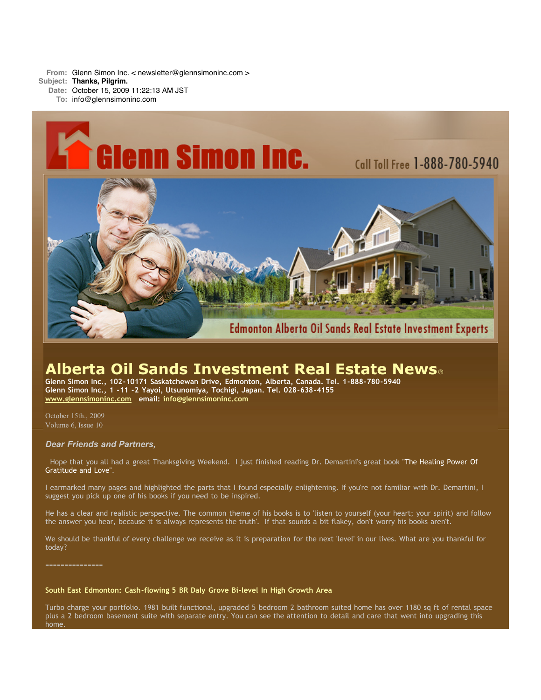**From:** Glenn Simon Inc. < newsletter@glennsimoninc.com > **Subject: Thanks, Pilgrim.**

**Date:** October 15, 2009 11:22:13 AM JST **To:** info@glennsimoninc.com



# **Alberta Oil Sands Investment Real Estate News**®

**Glenn Simon Inc., 102-10171 Saskatchewan Drive, Edmonton, Alberta, Canada. Tel. 1-888-780-5940 Glenn Simon Inc., 1 -11 -2 Yayoi, Utsunomiya, Tochigi, Japan. Tel. 028-638-4155 [www.glennsimoninc.com](http://www.glennsimoninc.com/) email: [info@glennsimoninc.com](mailto:info@glennsimoninc.com)**

October 15th., 2009 Volume 6, Issue 10

# *Dear Friends and Partners,*

Hope that you all had a great [Thanksgiving](http://www.amazon.com/Count-Your-Blessings-Healing-Gratitude/dp/1401910742/ref=sr_1_2?ie=UTF8&s=books&qid=1255572161&sr=8-2-spell) Weekend. I just finished reading Dr. Demartini's great book "The Healing Power Of Gratitude and Love".

I earmarked many pages and highlighted the parts that I found especially enlightening. If you're not familiar with Dr. Demartini, I suggest you pick up one of his books if you need to be inspired.

He has a clear and realistic perspective. The common theme of his books is to 'listen to yourself (your heart; your spirit) and follow the answer you hear, because it is always represents the truth'. If that sounds a bit flakey, don't worry his books aren't.

We should be thankful of every challenge we receive as it is preparation for the next 'level' in our lives. What are you thankful for today?

## **South East Edmonton: [Cash-flowing](http://www.glennsimoninc.com/featured_detail.php?id=67) 5 BR Daly Grove Bi-level In High Growth Area**

Turbo charge your portfolio. 1981 built functional, upgraded 5 bedroom 2 bathroom suited home has over 1180 sq ft of rental space plus a 2 bedroom basement suite with separate entry. You can see the attention to detail and care that went into upgrading this home.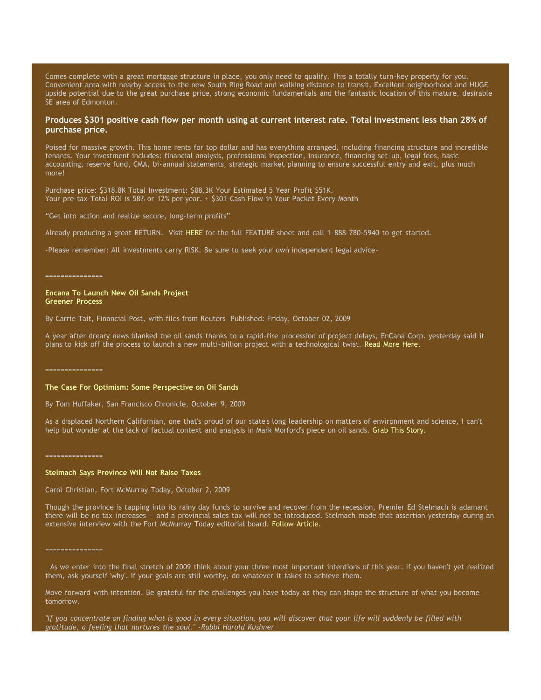Comes complete with a great mortgage structure in place, you only need to qualify. This a totally turn-key property for you. Convenient area with nearby access to the new South Ring Road and walking distance to transit. Excellent neighborhood and HUGE upside potential due to the great purchase price, strong economic fundamentals and the fantastic location of this mature, desirable SE area of Edmonton.

# Produces \$301 positive cash flow per month using at current interest rate. Total [investment](http://www.glennsimoninc.com/featured_detail.php?id=67) less than 28% of **purchase price.**

Poised for massive growth. This home rents for top dollar and has everything arranged, including financing structure and incredible tenants. Your investment includes: financial analysis, professional inspection, insurance, financing set-up, legal fees, basic accounting, reserve fund, CMA, bi-annual statements, strategic market planning to ensure successful entry and exit, plus much more!

Purchase price: \$318.8K Total Investment: \$88.3K Your Estimated 5 Year Profit \$51K. Your pre-tax Total ROI is 58% or 12% per year. + \$301 Cash Flow in Your Pocket Every Month

"Get into action and realize secure, long-term profits"

Already producing a great RETURN. Visit [HERE](http://www.glennsimoninc.com/featured_detail.php?id=67) for the full FEATURE sheet and call 1-888-780-5940 to get started.

-Please remember: All investments carry RISK. Be sure to seek your own independent legal advice-

#### ===============

# **Encana To Launch New Oil Sands Project Greener Process**

By Carrie Tait, Financial Post, with files from Reuters Published: Friday, October 02, 2009

A year after dreary news blanked the oil sands thanks to a rapid-fire procession of project delays, EnCana Corp. yesterday said it plans to kick off the process to launch a new multi-billion project with a technological twist. Read More [Here.](http://www.financialpost.com/news-sectors/story.html?id=2057013)

===============

## **The Case For Optimism: Some Perspective on Oil Sands**

By Tom Huffaker, San Francisco Chronicle, October 9, 2009

As a displaced Northern Californian, one that's proud of our state's long leadership on matters of environment and science, I can't help but wonder at the lack of factual context and analysis in Mark Morford's piece on oil sands. Grab This [Story.](http://www.sfgate.com/cgi-bin/article.cgi?f=/g/a/2009/10/09/oilsands.DTL)

===============

===============

#### **Stelmach Says Province Will Not Raise Taxes**

Carol Christian, Fort McMurray Today, October 2, 2009

Though the province is tapping into its rainy day funds to survive and recover from the recession, Premier Ed Stelmach is adamant there will be no tax increases — and a provincial sales tax will not be introduced. Stelmach made that assertion yesterday during an extensive interview with the Fort McMurray Today editorial board. Follow [Article.](http://www.fortmcmurraytoday.com/ArticleDisplay.aspx?e=1825747)

As we enter into the final stretch of 2009 think about your three most important intentions of this year. If you haven't yet realized them, ask yourself 'why'. If your goals are still worthy, do whatever it takes to achieve them.

Move forward with intention. Be grateful for the challenges you have today as they can shape the structure of what you become tomorrow.

"If you concentrate on finding what is good in every situation, you will discover that your life will suddenly be filled with *gratitude, a feeling that nurtures the soul." -Rabbi Harold Kushner*